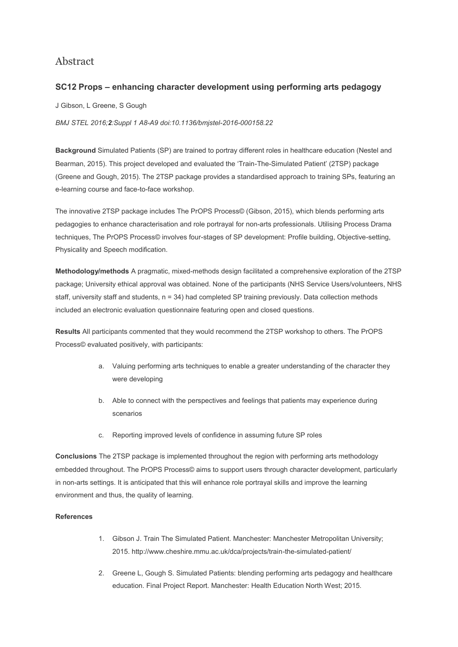## Abstract

## **SC12 Props – enhancing character development using performing arts pedagogy**

J Gibson, L Greene, S Gough

*BMJ STEL 2016;2:Suppl 1 A8-A9 doi:10.1136/bmjstel-2016-000158.22*

**Background** Simulated Patients (SP) are trained to portray different roles in healthcare education (Nestel and Bearman, 2015). This project developed and evaluated the 'Train-The-Simulated Patient' (2TSP) package (Greene and Gough, 2015). The 2TSP package provides a standardised approach to training SPs, featuring an e-learning course and face-to-face workshop.

The innovative 2TSP package includes The PrOPS Process© (Gibson, 2015), which blends performing arts pedagogies to enhance characterisation and role portrayal for non-arts professionals. Utilising Process Drama techniques, The PrOPS Process© involves four-stages of SP development: Profile building, Objective-setting, Physicality and Speech modification.

**Methodology/methods** A pragmatic, mixed-methods design facilitated a comprehensive exploration of the 2TSP package; University ethical approval was obtained. None of the participants (NHS Service Users/volunteers, NHS staff, university staff and students, n = 34) had completed SP training previously. Data collection methods included an electronic evaluation questionnaire featuring open and closed questions.

**Results** All participants commented that they would recommend the 2TSP workshop to others. The PrOPS Process© evaluated positively, with participants:

- a. Valuing performing arts techniques to enable a greater understanding of the character they were developing
- b. Able to connect with the perspectives and feelings that patients may experience during scenarios
- c. Reporting improved levels of confidence in assuming future SP roles

**Conclusions** The 2TSP package is implemented throughout the region with performing arts methodology embedded throughout. The PrOPS Process© aims to support users through character development, particularly in non-arts settings. It is anticipated that this will enhance role portrayal skills and improve the learning environment and thus, the quality of learning.

## **References**

- 1. Gibson J. Train The Simulated Patient. Manchester: Manchester Metropolitan University; 2015. http://www.cheshire.mmu.ac.uk/dca/projects/train-the-simulated-patient/
- 2. Greene L, Gough S. Simulated Patients: blending performing arts pedagogy and healthcare education. Final Project Report. Manchester: Health Education North West; 2015.